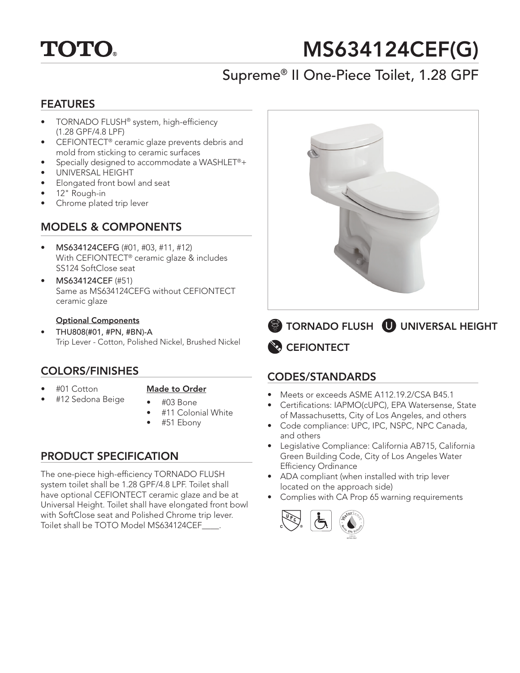

# MS634124CEF(G)

# Supreme® II One-Piece Toilet, 1.28 GPF

### FEATURES

- TORNADO FLUSH® system, high-efficiency (1.28 GPF/4.8 LPF)
- CEFIONTECT® ceramic glaze prevents debris and mold from sticking to ceramic surfaces
- Specially designed to accommodate a WASHLET®+
- UNIVERSAL HEIGHT
- Elongated front bowl and seat
- 12" Rough-in
- Chrome plated trip lever

# MODELS & COMPONENTS

- MS634124CEFG (#01, #03, #11, #12) With CEFIONTECT® ceramic glaze & includes SS124 SoftClose seat
- MS634124CEF (#51) Same as MS634124CEFG without CEFIONTECT ceramic glaze

#### Optional Components

• THU808(#01, #PN, #BN)-A Trip Lever - Cotton, Polished Nickel, Brushed Nickel

### COLORS/FINISHES

• #01 Cotton

#### Made to Order

- #12 Sedona Beige
- #03 Bone
- #11 Colonial White
- #51 Ebony

# PRODUCT SPECIFICATION

The one-piece high-efficiency TORNADO FLUSH system toilet shall be 1.28 GPF/4.8 LPF. Toilet shall have optional CEFIONTECT ceramic glaze and be at Universal Height. Toilet shall have elongated front bowl with SoftClose seat and Polished Chrome trip lever. Toilet shall be TOTO Model MS634124CEF\_\_\_\_.



**CEFIONTECT** TORNADO FLUSH UNIVERSAL HEIGHT

# CODES/STANDARDS

- Meets or exceeds ASME A112.19.2/CSA B45.1
- Certifications: IAPMO(cUPC), EPA Watersense, State of Massachusetts, City of Los Angeles, and others
- Code compliance: UPC, IPC, NSPC, NPC Canada, and others
- Legislative Compliance: California AB715, California Green Building Code, City of Los Angeles Water Efficiency Ordinance
- ADA compliant (when installed with trip lever located on the approach side)
- Complies with CA Prop 65 warning requirements